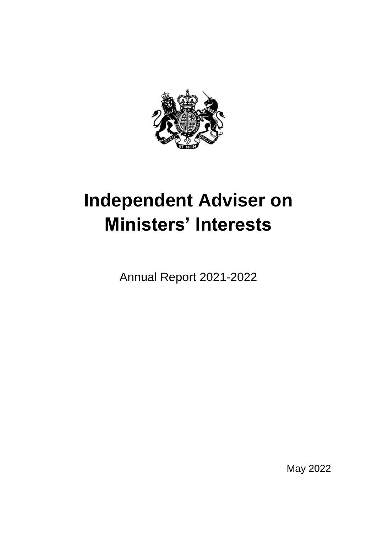

# **Independent Adviser on Ministers' Interests**

Annual Report 2021-2022

May 2022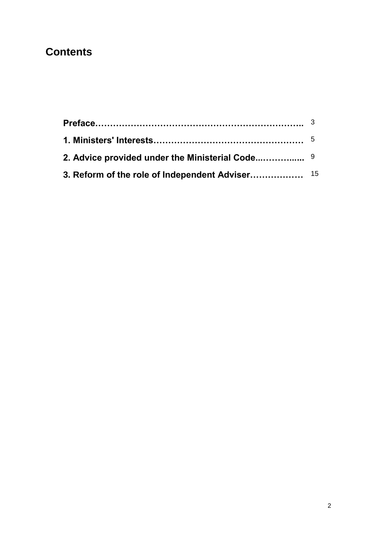# **Contents**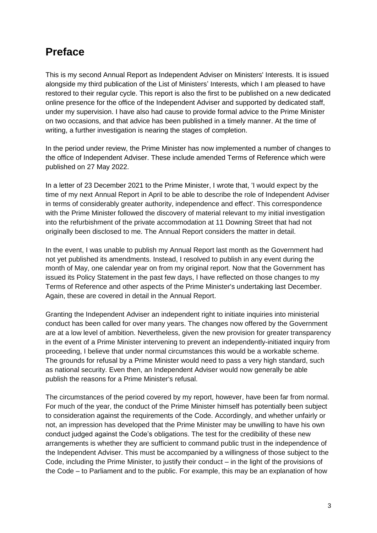## **Preface**

This is my second Annual Report as Independent Adviser on Ministers' Interests. It is issued alongside my third publication of the List of Ministers' Interests, which I am pleased to have restored to their regular cycle. This report is also the first to be published on a new dedicated online presence for the office of the Independent Adviser and supported by dedicated staff, under my supervision. I have also had cause to provide formal advice to the Prime Minister on two occasions, and that advice has been published in a timely manner. At the time of writing, a further investigation is nearing the stages of completion.

In the period under review, the Prime Minister has now implemented a number of changes to the office of Independent Adviser. These include amended Terms of Reference which were published on 27 May 2022.

In a letter of 23 December 2021 to the Prime Minister, I wrote that, 'I would expect by the time of my next Annual Report in April to be able to describe the role of Independent Adviser in terms of considerably greater authority, independence and effect'. This correspondence with the Prime Minister followed the discovery of material relevant to my initial investigation into the refurbishment of the private accommodation at 11 Downing Street that had not originally been disclosed to me. The Annual Report considers the matter in detail.

In the event, I was unable to publish my Annual Report last month as the Government had not yet published its amendments. Instead, I resolved to publish in any event during the month of May, one calendar year on from my original report. Now that the Government has issued its Policy Statement in the past few days, I have reflected on those changes to my Terms of Reference and other aspects of the Prime Minister's undertaking last December. Again, these are covered in detail in the Annual Report.

Granting the Independent Adviser an independent right to initiate inquiries into ministerial conduct has been called for over many years. The changes now offered by the Government are at a low level of ambition. Nevertheless, given the new provision for greater transparency in the event of a Prime Minister intervening to prevent an independently-initiated inquiry from proceeding, I believe that under normal circumstances this would be a workable scheme. The grounds for refusal by a Prime Minister would need to pass a very high standard, such as national security. Even then, an Independent Adviser would now generally be able publish the reasons for a Prime Minister's refusal.

The circumstances of the period covered by my report, however, have been far from normal. For much of the year, the conduct of the Prime Minister himself has potentially been subject to consideration against the requirements of the Code. Accordingly, and whether unfairly or not, an impression has developed that the Prime Minister may be unwilling to have his own conduct judged against the Code's obligations. The test for the credibility of these new arrangements is whether they are sufficient to command public trust in the independence of the Independent Adviser. This must be accompanied by a willingness of those subject to the Code, including the Prime Minister, to justify their conduct – in the light of the provisions of the Code – to Parliament and to the public. For example, this may be an explanation of how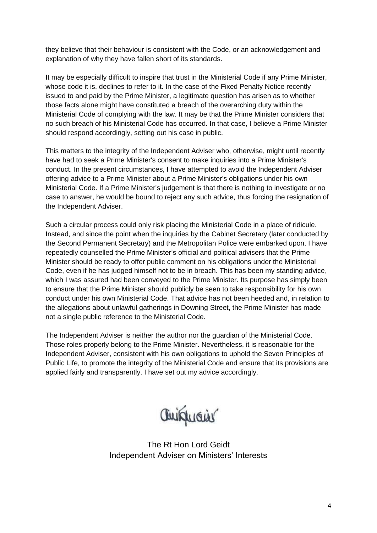they believe that their behaviour is consistent with the Code, or an acknowledgement and explanation of why they have fallen short of its standards.

It may be especially difficult to inspire that trust in the Ministerial Code if any Prime Minister, whose code it is, declines to refer to it. In the case of the Fixed Penalty Notice recently issued to and paid by the Prime Minister, a legitimate question has arisen as to whether those facts alone might have constituted a breach of the overarching duty within the Ministerial Code of complying with the law. It may be that the Prime Minister considers that no such breach of his Ministerial Code has occurred. In that case, I believe a Prime Minister should respond accordingly, setting out his case in public.

This matters to the integrity of the Independent Adviser who, otherwise, might until recently have had to seek a Prime Minister's consent to make inquiries into a Prime Minister's conduct. In the present circumstances, I have attempted to avoid the Independent Adviser offering advice to a Prime Minister about a Prime Minister's obligations under his own Ministerial Code. If a Prime Minister's judgement is that there is nothing to investigate or no case to answer, he would be bound to reject any such advice, thus forcing the resignation of the Independent Adviser.

Such a circular process could only risk placing the Ministerial Code in a place of ridicule. Instead, and since the point when the inquiries by the Cabinet Secretary (later conducted by the Second Permanent Secretary) and the Metropolitan Police were embarked upon, I have repeatedly counselled the Prime Minister's official and political advisers that the Prime Minister should be ready to offer public comment on his obligations under the Ministerial Code, even if he has judged himself not to be in breach. This has been my standing advice, which I was assured had been conveyed to the Prime Minister. Its purpose has simply been to ensure that the Prime Minister should publicly be seen to take responsibility for his own conduct under his own Ministerial Code. That advice has not been heeded and, in relation to the allegations about unlawful gatherings in Downing Street, the Prime Minister has made not a single public reference to the Ministerial Code.

The Independent Adviser is neither the author nor the guardian of the Ministerial Code. Those roles properly belong to the Prime Minister. Nevertheless, it is reasonable for the Independent Adviser, consistent with his own obligations to uphold the Seven Principles of Public Life, to promote the integrity of the Ministerial Code and ensure that its provisions are applied fairly and transparently. I have set out my advice accordingly.

aniquais

The Rt Hon Lord Geidt Independent Adviser on Ministers' Interests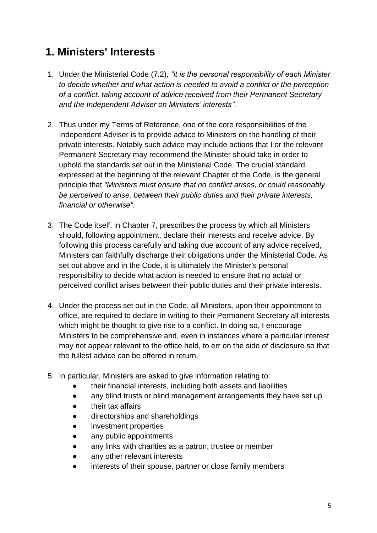# **1. Ministers' Interests**

- 1. Under the Ministerial Code (7.2), *"it is the personal responsibility of each Minister to decide whether and what action is needed to avoid a conflict or the perception of a conflict, taking account of advice received from their Permanent Secretary and the Independent Adviser on Ministers' interests"*.
- 2. Thus under my Terms of Reference, one of the core responsibilities of the Independent Adviser is to provide advice to Ministers on the handling of their private interests. Notably such advice may include actions that I or the relevant Permanent Secretary may recommend the Minister should take in order to uphold the standards set out in the Ministerial Code. The crucial standard, expressed at the beginning of the relevant Chapter of the Code, is the general principle that *"Ministers must ensure that no conflict arises, or could reasonably be perceived to arise, between their public duties and their private interests, financial or otherwise".*
- 3. The Code itself, in Chapter 7, prescribes the process by which all Ministers should, following appointment, declare their interests and receive advice. By following this process carefully and taking due account of any advice received, Ministers can faithfully discharge their obligations under the Ministerial Code. As set out above and in the Code, it is ultimately the Minister's personal responsibility to decide what action is needed to ensure that no actual or perceived conflict arises between their public duties and their private interests.
- 4. Under the process set out in the Code, all Ministers, upon their appointment to office, are required to declare in writing to their Permanent Secretary all interests which might be thought to give rise to a conflict. In doing so, I encourage Ministers to be comprehensive and, even in instances where a particular interest may not appear relevant to the office held, to err on the side of disclosure so that the fullest advice can be offered in return.
- 5. In particular, Ministers are asked to give information relating to:
	- their financial interests, including both assets and liabilities
	- any blind trusts or blind management arrangements they have set up
	- their tax affairs
	- directorships and shareholdings
	- investment properties
	- any public appointments
	- any links with charities as a patron, trustee or member
	- any other relevant interests
	- interests of their spouse, partner or close family members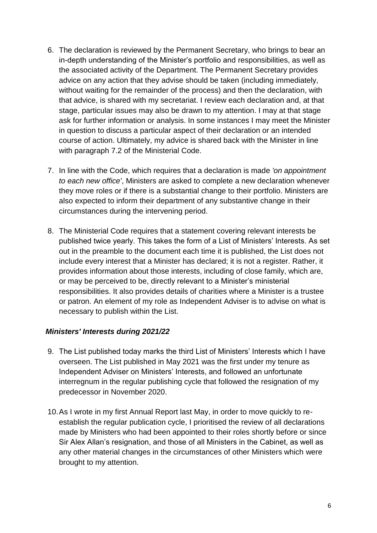- 6. The declaration is reviewed by the Permanent Secretary, who brings to bear an in-depth understanding of the Minister's portfolio and responsibilities, as well as the associated activity of the Department. The Permanent Secretary provides advice on any action that they advise should be taken (including immediately, without waiting for the remainder of the process) and then the declaration, with that advice, is shared with my secretariat. I review each declaration and, at that stage, particular issues may also be drawn to my attention. I may at that stage ask for further information or analysis. In some instances I may meet the Minister in question to discuss a particular aspect of their declaration or an intended course of action. Ultimately, my advice is shared back with the Minister in line with paragraph 7.2 of the Ministerial Code.
- 7. In line with the Code, which requires that a declaration is made *'on appointment to each new office'*, Ministers are asked to complete a new declaration whenever they move roles or if there is a substantial change to their portfolio. Ministers are also expected to inform their department of any substantive change in their circumstances during the intervening period.
- 8. The Ministerial Code requires that a statement covering relevant interests be published twice yearly. This takes the form of a List of Ministers' Interests. As set out in the preamble to the document each time it is published, the List does not include every interest that a Minister has declared; it is not a register. Rather, it provides information about those interests, including of close family, which are, or may be perceived to be, directly relevant to a Minister's ministerial responsibilities. It also provides details of charities where a Minister is a trustee or patron. An element of my role as Independent Adviser is to advise on what is necessary to publish within the List.

#### *Ministers' Interests during 2021/22*

- 9. The List published today marks the third List of Ministers' Interests which I have overseen. The List published in May 2021 was the first under my tenure as Independent Adviser on Ministers' Interests, and followed an unfortunate interregnum in the regular publishing cycle that followed the resignation of my predecessor in November 2020.
- 10.As I wrote in my first Annual Report last May, in order to move quickly to reestablish the regular publication cycle, I prioritised the review of all declarations made by Ministers who had been appointed to their roles shortly before or since Sir Alex Allan's resignation, and those of all Ministers in the Cabinet, as well as any other material changes in the circumstances of other Ministers which were brought to my attention.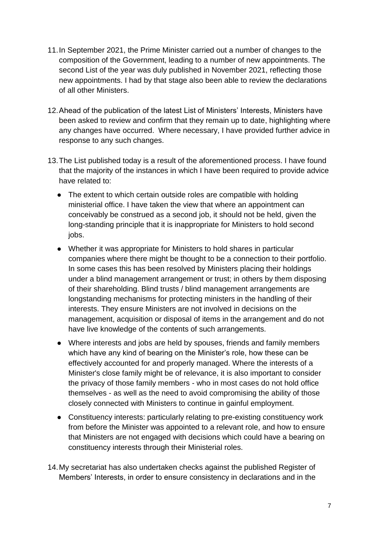- 11.In September 2021, the Prime Minister carried out a number of changes to the composition of the Government, leading to a number of new appointments. The second List of the year was duly published in November 2021, reflecting those new appointments. I had by that stage also been able to review the declarations of all other Ministers.
- 12.Ahead of the publication of the latest List of Ministers' Interests, Ministers have been asked to review and confirm that they remain up to date, highlighting where any changes have occurred. Where necessary, I have provided further advice in response to any such changes.
- 13.The List published today is a result of the aforementioned process. I have found that the majority of the instances in which I have been required to provide advice have related to:
	- The extent to which certain outside roles are compatible with holding ministerial office. I have taken the view that where an appointment can conceivably be construed as a second job, it should not be held, given the long-standing principle that it is inappropriate for Ministers to hold second jobs.
	- Whether it was appropriate for Ministers to hold shares in particular companies where there might be thought to be a connection to their portfolio. In some cases this has been resolved by Ministers placing their holdings under a blind management arrangement or trust; in others by them disposing of their shareholding. Blind trusts / blind management arrangements are longstanding mechanisms for protecting ministers in the handling of their interests. They ensure Ministers are not involved in decisions on the management, acquisition or disposal of items in the arrangement and do not have live knowledge of the contents of such arrangements.
	- Where interests and jobs are held by spouses, friends and family members which have any kind of bearing on the Minister's role, how these can be effectively accounted for and properly managed. Where the interests of a Minister's close family might be of relevance, it is also important to consider the privacy of those family members - who in most cases do not hold office themselves - as well as the need to avoid compromising the ability of those closely connected with Ministers to continue in gainful employment.
	- Constituency interests: particularly relating to pre-existing constituency work from before the Minister was appointed to a relevant role, and how to ensure that Ministers are not engaged with decisions which could have a bearing on constituency interests through their Ministerial roles.
- 14.My secretariat has also undertaken checks against the published Register of Members' Interests, in order to ensure consistency in declarations and in the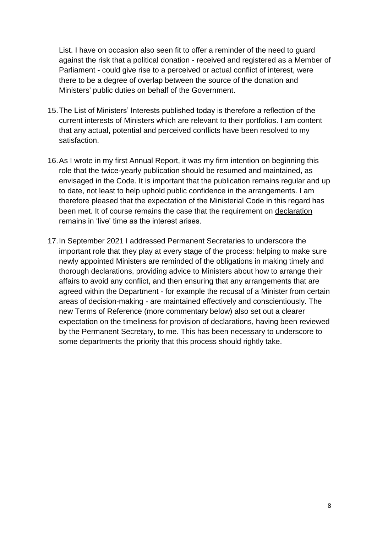List. I have on occasion also seen fit to offer a reminder of the need to guard against the risk that a political donation - received and registered as a Member of Parliament - could give rise to a perceived or actual conflict of interest, were there to be a degree of overlap between the source of the donation and Ministers' public duties on behalf of the Government.

- 15.The List of Ministers' Interests published today is therefore a reflection of the current interests of Ministers which are relevant to their portfolios. I am content that any actual, potential and perceived conflicts have been resolved to my satisfaction.
- 16.As I wrote in my first Annual Report, it was my firm intention on beginning this role that the twice-yearly publication should be resumed and maintained, as envisaged in the Code. It is important that the publication remains regular and up to date, not least to help uphold public confidence in the arrangements. I am therefore pleased that the expectation of the Ministerial Code in this regard has been met. It of course remains the case that the requirement on declaration remains in 'live' time as the interest arises.
- 17.In September 2021 I addressed Permanent Secretaries to underscore the important role that they play at every stage of the process: helping to make sure newly appointed Ministers are reminded of the obligations in making timely and thorough declarations, providing advice to Ministers about how to arrange their affairs to avoid any conflict, and then ensuring that any arrangements that are agreed within the Department - for example the recusal of a Minister from certain areas of decision-making - are maintained effectively and conscientiously. The new Terms of Reference (more commentary below) also set out a clearer expectation on the timeliness for provision of declarations, having been reviewed by the Permanent Secretary, to me. This has been necessary to underscore to some departments the priority that this process should rightly take.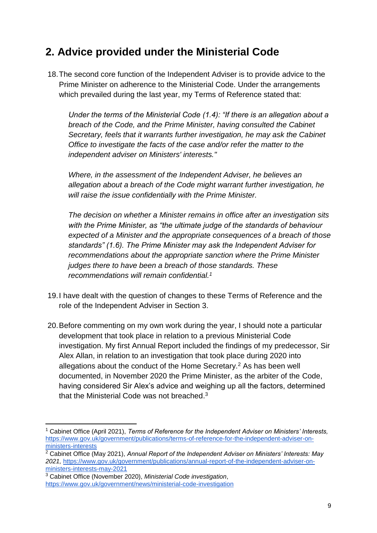# **2. Advice provided under the Ministerial Code**

18.The second core function of the Independent Adviser is to provide advice to the Prime Minister on adherence to the Ministerial Code. Under the arrangements which prevailed during the last year, my Terms of Reference stated that:

*Under the terms of the Ministerial Code (1.4): "If there is an allegation about a breach of the Code, and the Prime Minister, having consulted the Cabinet Secretary, feels that it warrants further investigation, he may ask the Cabinet Office to investigate the facts of the case and/or refer the matter to the independent adviser on Ministers' interests."* 

*Where, in the assessment of the Independent Adviser, he believes an allegation about a breach of the Code might warrant further investigation, he will raise the issue confidentially with the Prime Minister.* 

*The decision on whether a Minister remains in office after an investigation sits with the Prime Minister, as "the ultimate judge of the standards of behaviour expected of a Minister and the appropriate consequences of a breach of those standards" (1.6). The Prime Minister may ask the Independent Adviser for recommendations about the appropriate sanction where the Prime Minister judges there to have been a breach of those standards. These recommendations will remain confidential.<sup>1</sup>*

- 19.I have dealt with the question of changes to these Terms of Reference and the role of the Independent Adviser in Section 3.
- 20.Before commenting on my own work during the year, I should note a particular development that took place in relation to a previous Ministerial Code investigation. My first Annual Report included the findings of my predecessor, Sir Alex Allan, in relation to an investigation that took place during 2020 into allegations about the conduct of the Home Secretary.<sup>2</sup> As has been well documented, in November 2020 the Prime Minister, as the arbiter of the Code, having considered Sir Alex's advice and weighing up all the factors, determined that the Ministerial Code was not breached.<sup>3</sup>

-

<sup>1</sup> Cabinet Office (April 2021), *Terms of Reference for the Independent Adviser on Ministers' Interests,*  [https://www.gov.uk/government/publications/terms-of-reference-for-the-independent-adviser-on](https://www.gov.uk/government/publications/terms-of-reference-for-the-independent-adviser-on-ministers-interests)[ministers-interests](https://www.gov.uk/government/publications/terms-of-reference-for-the-independent-adviser-on-ministers-interests)

<sup>2</sup> Cabinet Office (May 2021), *Annual Report of the Independent Adviser on Ministers' Interests: May 2021,* [https://www.gov.uk/government/publications/annual-report-of-the-independent-adviser-on](https://www.gov.uk/government/publications/annual-report-of-the-independent-adviser-on-ministers-interests-may-2021)[ministers-interests-may-2021](https://www.gov.uk/government/publications/annual-report-of-the-independent-adviser-on-ministers-interests-may-2021)

<sup>3</sup> Cabinet Office (November 2020), *Ministerial Code investigation*, <https://www.gov.uk/government/news/ministerial-code-investigation>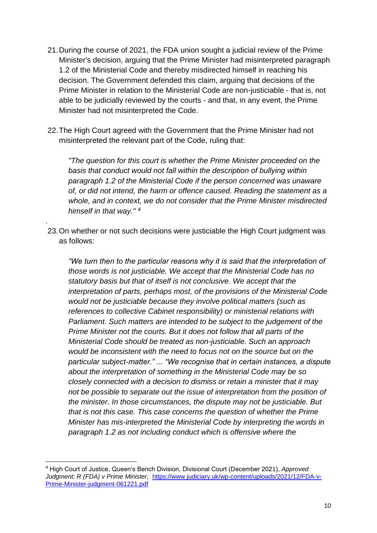- 21.During the course of 2021, the FDA union sought a judicial review of the Prime Minister's decision, arguing that the Prime Minister had misinterpreted paragraph 1.2 of the Ministerial Code and thereby misdirected himself in reaching his decision. The Government defended this claim, arguing that decisions of the Prime Minister in relation to the Ministerial Code are non-justiciable - that is, not able to be judicially reviewed by the courts - and that, in any event, the Prime Minister had not misinterpreted the Code.
- 22.The High Court agreed with the Government that the Prime Minister had not misinterpreted the relevant part of the Code, ruling that:

*"The question for this court is whether the Prime Minister proceeded on the basis that conduct would not fall within the description of bullying within paragraph 1.2 of the Ministerial Code if the person concerned was unaware of, or did not intend, the harm or offence caused. Reading the statement as a whole, and in context, we do not consider that the Prime Minister misdirected himself in that way." <sup>4</sup>*

23.On whether or not such decisions were justiciable the High Court judgment was as follows:

.

-

*"We turn then to the particular reasons why it is said that the interpretation of those words is not justiciable. We accept that the Ministerial Code has no statutory basis but that of itself is not conclusive. We accept that the interpretation of parts, perhaps most, of the provisions of the Ministerial Code would not be justiciable because they involve political matters (such as references to collective Cabinet responsibility) or ministerial relations with Parliament. Such matters are intended to be subject to the judgement of the Prime Minister not the courts. But it does not follow that all parts of the Ministerial Code should be treated as non-justiciable. Such an approach would be inconsistent with the need to focus not on the source but on the particular subject-matter." ... "We recognise that in certain instances, a dispute about the interpretation of something in the Ministerial Code may be so closely connected with a decision to dismiss or retain a minister that it may not be possible to separate out the issue of interpretation from the position of the minister. In those circumstances, the dispute may not be justiciable. But that is not this case. This case concerns the question of whether the Prime Minister has mis-interpreted the Ministerial Code by interpreting the words in paragraph 1.2 as not including conduct which is offensive where the* 

<sup>4</sup> High Court of Justice, Queen's Bench Division, Divisional Court (December 2021), *Approved Judgment: R (FDA) v Prime Minister,* [https://www.judiciary.uk/wp-content/uploads/2021/12/FDA-v-](https://www.judiciary.uk/wp-content/uploads/2021/12/FDA-v-Prime-Minister-judgment-061221.pdf)[Prime-Minister-judgment-061221.pdf](https://www.judiciary.uk/wp-content/uploads/2021/12/FDA-v-Prime-Minister-judgment-061221.pdf)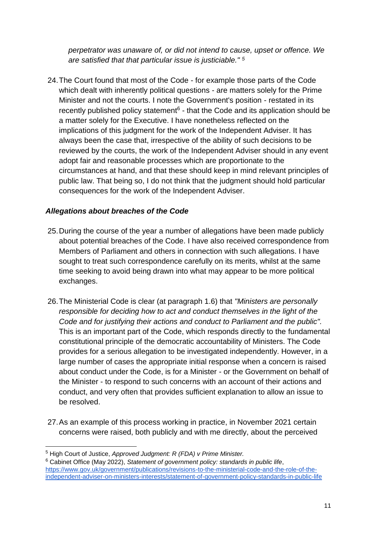*perpetrator was unaware of, or did not intend to cause, upset or offence. We are satisfied that that particular issue is justiciable." <sup>5</sup>*

24.The Court found that most of the Code - for example those parts of the Code which dealt with inherently political questions - are matters solely for the Prime Minister and not the courts. I note the Government's position - restated in its recently published policy statement<sup>6</sup> - that the Code and its application should be a matter solely for the Executive. I have nonetheless reflected on the implications of this judgment for the work of the Independent Adviser. It has always been the case that, irrespective of the ability of such decisions to be reviewed by the courts, the work of the Independent Adviser should in any event adopt fair and reasonable processes which are proportionate to the circumstances at hand, and that these should keep in mind relevant principles of public law. That being so, I do not think that the judgment should hold particular consequences for the work of the Independent Adviser.

#### *Allegations about breaches of the Code*

- 25.During the course of the year a number of allegations have been made publicly about potential breaches of the Code. I have also received correspondence from Members of Parliament and others in connection with such allegations. I have sought to treat such correspondence carefully on its merits, whilst at the same time seeking to avoid being drawn into what may appear to be more political exchanges.
- 26.The Ministerial Code is clear (at paragraph 1.6) that *"Ministers are personally responsible for deciding how to act and conduct themselves in the light of the Code and for justifying their actions and conduct to Parliament and the public".* This is an important part of the Code, which responds directly to the fundamental constitutional principle of the democratic accountability of Ministers. The Code provides for a serious allegation to be investigated independently. However, in a large number of cases the appropriate initial response when a concern is raised about conduct under the Code, is for a Minister - or the Government on behalf of the Minister - to respond to such concerns with an account of their actions and conduct, and very often that provides sufficient explanation to allow an issue to be resolved.
- 27.As an example of this process working in practice, in November 2021 certain concerns were raised, both publicly and with me directly, about the perceived

-

<sup>5</sup> High Court of Justice, *Approved Judgment: R (FDA) v Prime Minister.* 

<sup>6</sup> Cabinet Office (May 2022), *Statement of government policy: standards in public life*, [https://www.gov.uk/government/publications/revisions-to-the-ministerial-code-and-the-role-of-the](https://www.gov.uk/government/publications/revisions-to-the-ministerial-code-and-the-role-of-the-independent-adviser-on-ministers-interests/statement-of-government-policy-standards-in-public-life)[independent-adviser-on-ministers-interests/statement-of-government-policy-standards-in-public-life](https://www.gov.uk/government/publications/revisions-to-the-ministerial-code-and-the-role-of-the-independent-adviser-on-ministers-interests/statement-of-government-policy-standards-in-public-life)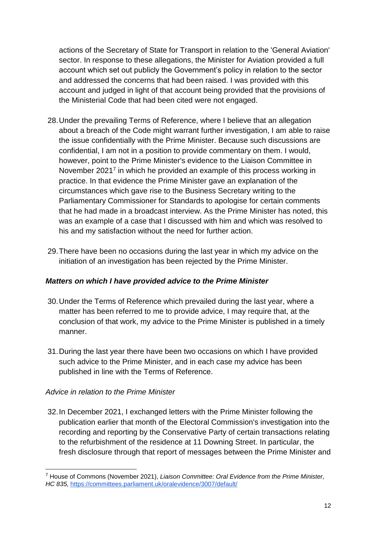actions of the Secretary of State for Transport in relation to the 'General Aviation' sector. In response to these allegations, the Minister for Aviation provided a full account which set out publicly the Government's policy in relation to the sector and addressed the concerns that had been raised. I was provided with this account and judged in light of that account being provided that the provisions of the Ministerial Code that had been cited were not engaged.

- 28.Under the prevailing Terms of Reference, where I believe that an allegation about a breach of the Code might warrant further investigation, I am able to raise the issue confidentially with the Prime Minister. Because such discussions are confidential, I am not in a position to provide commentary on them. I would, however, point to the Prime Minister's evidence to the Liaison Committee in November 2021<sup>7</sup> in which he provided an example of this process working in practice. In that evidence the Prime Minister gave an explanation of the circumstances which gave rise to the Business Secretary writing to the Parliamentary Commissioner for Standards to apologise for certain comments that he had made in a broadcast interview. As the Prime Minister has noted, this was an example of a case that I discussed with him and which was resolved to his and my satisfaction without the need for further action.
- 29.There have been no occasions during the last year in which my advice on the initiation of an investigation has been rejected by the Prime Minister.

#### *Matters on which I have provided advice to the Prime Minister*

- 30.Under the Terms of Reference which prevailed during the last year, where a matter has been referred to me to provide advice, I may require that, at the conclusion of that work, my advice to the Prime Minister is published in a timely manner.
- 31.During the last year there have been two occasions on which I have provided such advice to the Prime Minister, and in each case my advice has been published in line with the Terms of Reference.

#### *Advice in relation to the Prime Minister*

32.In December 2021, I exchanged letters with the Prime Minister following the publication earlier that month of the Electoral Commission's investigation into the recording and reporting by the Conservative Party of certain transactions relating to the refurbishment of the residence at 11 Downing Street. In particular, the fresh disclosure through that report of messages between the Prime Minister and

<sup>-</sup><sup>7</sup> House of Commons (November 2021), *Liaison Committee: Oral Evidence from the Prime Minister, HC 835,* <https://committees.parliament.uk/oralevidence/3007/default/>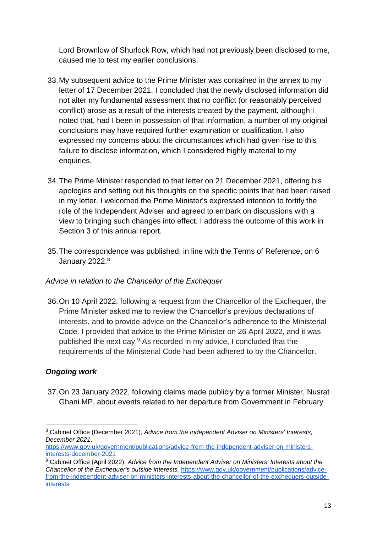Lord Brownlow of Shurlock Row, which had not previously been disclosed to me, caused me to test my earlier conclusions.

- 33.My subsequent advice to the Prime Minister was contained in the annex to my letter of 17 December 2021. I concluded that the newly disclosed information did not alter my fundamental assessment that no conflict (or reasonably perceived conflict) arose as a result of the interests created by the payment, although I noted that, had I been in possession of that information, a number of my original conclusions may have required further examination or qualification. I also expressed my concerns about the circumstances which had given rise to this failure to disclose information, which I considered highly material to my enquiries.
- 34.The Prime Minister responded to that letter on 21 December 2021, offering his apologies and setting out his thoughts on the specific points that had been raised in my letter. I welcomed the Prime Minister's expressed intention to fortify the role of the Independent Adviser and agreed to embark on discussions with a view to bringing such changes into effect. I address the outcome of this work in Section 3 of this annual report.
- 35.The correspondence was published, in line with the Terms of Reference, on 6 January 2022.<sup>8</sup>

#### *Advice in relation to the Chancellor of the Exchequer*

36.On 10 April 2022, following a request from the Chancellor of the Exchequer, the Prime Minister asked me to review the Chancellor's previous declarations of interests, and to provide advice on the Chancellor's adherence to the Ministerial Code. I provided that advice to the Prime Minister on 26 April 2022, and it was published the next day.<sup>9</sup> As recorded in my advice, I concluded that the requirements of the Ministerial Code had been adhered to by the Chancellor.

## *Ongoing work*

-

37.On 23 January 2022, following claims made publicly by a former Minister, Nusrat Ghani MP, about events related to her departure from Government in February

<sup>8</sup> Cabinet Office (December 2021), *Advice from the Independent Adviser on Ministers' Interests, December 2021*,

[https://www.gov.uk/government/publications/advice-from-the-independent-adviser-on-ministers](https://www.gov.uk/government/publications/advice-from-the-independent-adviser-on-ministers-interests-december-2021)[interests-december-2021](https://www.gov.uk/government/publications/advice-from-the-independent-adviser-on-ministers-interests-december-2021)

<sup>9</sup> Cabinet Office (April 2022), *Advice from the Independent Adviser on Ministers' Interests about the Chancellor of the Exchequer's outside interests,* [https://www.gov.uk/government/publications/advice](https://www.gov.uk/government/publications/advice-from-the-independent-adviser-on-ministers-interests-about-the-chancellor-of-the-exchequers-outside-interests)[from-the-independent-adviser-on-ministers-interests-about-the-chancellor-of-the-exchequers-outside](https://www.gov.uk/government/publications/advice-from-the-independent-adviser-on-ministers-interests-about-the-chancellor-of-the-exchequers-outside-interests)**[interests](https://www.gov.uk/government/publications/advice-from-the-independent-adviser-on-ministers-interests-about-the-chancellor-of-the-exchequers-outside-interests)**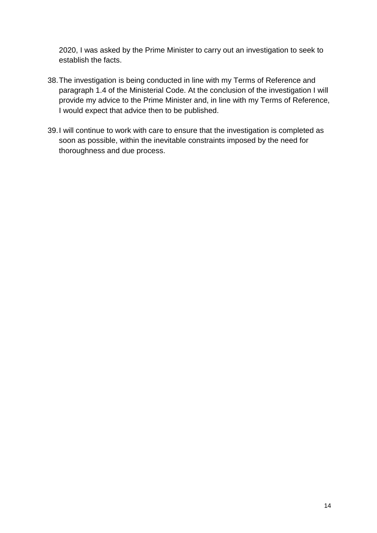2020, I was asked by the Prime Minister to carry out an investigation to seek to establish the facts.

- 38.The investigation is being conducted in line with my Terms of Reference and paragraph 1.4 of the Ministerial Code. At the conclusion of the investigation I will provide my advice to the Prime Minister and, in line with my Terms of Reference, I would expect that advice then to be published.
- 39.I will continue to work with care to ensure that the investigation is completed as soon as possible, within the inevitable constraints imposed by the need for thoroughness and due process.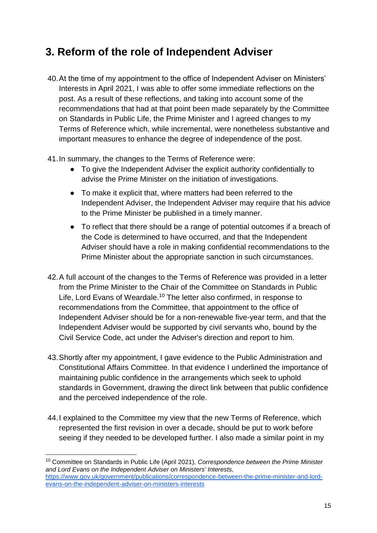# **3. Reform of the role of Independent Adviser**

- 40.At the time of my appointment to the office of Independent Adviser on Ministers' Interests in April 2021, I was able to offer some immediate reflections on the post. As a result of these reflections, and taking into account some of the recommendations that had at that point been made separately by the Committee on Standards in Public Life, the Prime Minister and I agreed changes to my Terms of Reference which, while incremental, were nonetheless substantive and important measures to enhance the degree of independence of the post.
- 41.In summary, the changes to the Terms of Reference were:
	- To give the Independent Adviser the explicit authority confidentially to advise the Prime Minister on the initiation of investigations.
	- To make it explicit that, where matters had been referred to the Independent Adviser, the Independent Adviser may require that his advice to the Prime Minister be published in a timely manner.
	- To reflect that there should be a range of potential outcomes if a breach of the Code is determined to have occurred, and that the Independent Adviser should have a role in making confidential recommendations to the Prime Minister about the appropriate sanction in such circumstances.
- 42.A full account of the changes to the Terms of Reference was provided in a letter from the Prime Minister to the Chair of the Committee on Standards in Public Life, Lord Evans of Weardale.<sup>10</sup> The letter also confirmed, in response to recommendations from the Committee, that appointment to the office of Independent Adviser should be for a non-renewable five-year term, and that the Independent Adviser would be supported by civil servants who, bound by the Civil Service Code, act under the Adviser's direction and report to him.
- 43.Shortly after my appointment, I gave evidence to the Public Administration and Constitutional Affairs Committee. In that evidence I underlined the importance of maintaining public confidence in the arrangements which seek to uphold standards in Government, drawing the direct link between that public confidence and the perceived independence of the role.
- 44.I explained to the Committee my view that the new Terms of Reference, which represented the first revision in over a decade, should be put to work before seeing if they needed to be developed further. I also made a similar point in my

-

<sup>10</sup> Committee on Standards in Public Life (April 2021), *Correspondence between the Prime Minister and Lord Evans on the Independent Adviser on Ministers' Interests,*  [https://www.gov.uk/government/publications/correspondence-between-the-prime-minister-and-lord](https://www.gov.uk/government/publications/correspondence-between-the-prime-minister-and-lord-evans-on-the-independent-adviser-on-ministers-interests)[evans-on-the-independent-adviser-on-ministers-interests](https://www.gov.uk/government/publications/correspondence-between-the-prime-minister-and-lord-evans-on-the-independent-adviser-on-ministers-interests)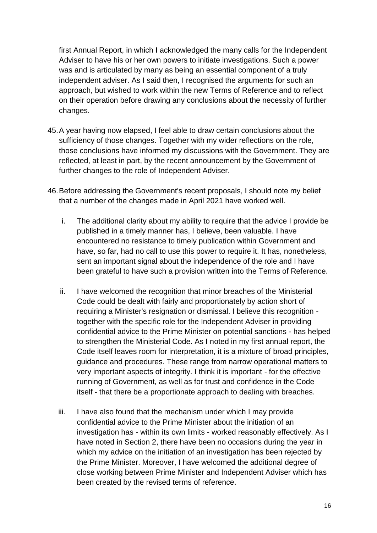first Annual Report, in which I acknowledged the many calls for the Independent Adviser to have his or her own powers to initiate investigations. Such a power was and is articulated by many as being an essential component of a truly independent adviser. As I said then, I recognised the arguments for such an approach, but wished to work within the new Terms of Reference and to reflect on their operation before drawing any conclusions about the necessity of further changes.

- 45.A year having now elapsed, I feel able to draw certain conclusions about the sufficiency of those changes. Together with my wider reflections on the role, those conclusions have informed my discussions with the Government. They are reflected, at least in part, by the recent announcement by the Government of further changes to the role of Independent Adviser.
- 46.Before addressing the Government's recent proposals, I should note my belief that a number of the changes made in April 2021 have worked well.
	- i. The additional clarity about my ability to require that the advice I provide be published in a timely manner has, I believe, been valuable. I have encountered no resistance to timely publication within Government and have, so far, had no call to use this power to require it. It has, nonetheless, sent an important signal about the independence of the role and I have been grateful to have such a provision written into the Terms of Reference.
	- ii. I have welcomed the recognition that minor breaches of the Ministerial Code could be dealt with fairly and proportionately by action short of requiring a Minister's resignation or dismissal. I believe this recognition together with the specific role for the Independent Adviser in providing confidential advice to the Prime Minister on potential sanctions - has helped to strengthen the Ministerial Code. As I noted in my first annual report, the Code itself leaves room for interpretation, it is a mixture of broad principles, guidance and procedures. These range from narrow operational matters to very important aspects of integrity. I think it is important - for the effective running of Government, as well as for trust and confidence in the Code itself - that there be a proportionate approach to dealing with breaches.
	- iii. I have also found that the mechanism under which I may provide confidential advice to the Prime Minister about the initiation of an investigation has - within its own limits - worked reasonably effectively. As I have noted in Section 2, there have been no occasions during the year in which my advice on the initiation of an investigation has been rejected by the Prime Minister. Moreover, I have welcomed the additional degree of close working between Prime Minister and Independent Adviser which has been created by the revised terms of reference.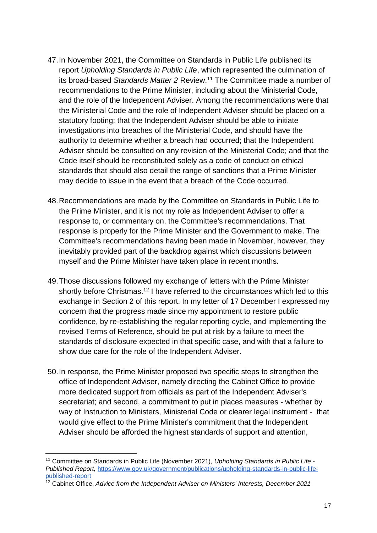- 47.In November 2021, the Committee on Standards in Public Life published its report *Upholding Standards in Public Life*, which represented the culmination of its broad-based *Standards Matter 2* Review.<sup>11</sup> The Committee made a number of recommendations to the Prime Minister, including about the Ministerial Code, and the role of the Independent Adviser. Among the recommendations were that the Ministerial Code and the role of Independent Adviser should be placed on a statutory footing; that the Independent Adviser should be able to initiate investigations into breaches of the Ministerial Code, and should have the authority to determine whether a breach had occurred; that the Independent Adviser should be consulted on any revision of the Ministerial Code; and that the Code itself should be reconstituted solely as a code of conduct on ethical standards that should also detail the range of sanctions that a Prime Minister may decide to issue in the event that a breach of the Code occurred.
- 48.Recommendations are made by the Committee on Standards in Public Life to the Prime Minister, and it is not my role as Independent Adviser to offer a response to, or commentary on, the Committee's recommendations. That response is properly for the Prime Minister and the Government to make. The Committee's recommendations having been made in November, however, they inevitably provided part of the backdrop against which discussions between myself and the Prime Minister have taken place in recent months.
- 49.Those discussions followed my exchange of letters with the Prime Minister shortly before Christmas.<sup>12</sup> I have referred to the circumstances which led to this exchange in Section 2 of this report. In my letter of 17 December I expressed my concern that the progress made since my appointment to restore public confidence, by re-establishing the regular reporting cycle, and implementing the revised Terms of Reference, should be put at risk by a failure to meet the standards of disclosure expected in that specific case, and with that a failure to show due care for the role of the Independent Adviser.
- 50.In response, the Prime Minister proposed two specific steps to strengthen the office of Independent Adviser, namely directing the Cabinet Office to provide more dedicated support from officials as part of the Independent Adviser's secretariat; and second, a commitment to put in places measures - whether by way of Instruction to Ministers, Ministerial Code or clearer legal instrument - that would give effect to the Prime Minister's commitment that the Independent Adviser should be afforded the highest standards of support and attention,

<sup>-</sup><sup>11</sup> Committee on Standards in Public Life (November 2021), *Upholding Standards in Public Life - Published Report,* [https://www.gov.uk/government/publications/upholding-standards-in-public-life](https://www.gov.uk/government/publications/upholding-standards-in-public-life-published-report)[published-report](https://www.gov.uk/government/publications/upholding-standards-in-public-life-published-report)

<sup>12</sup> Cabinet Office, *Advice from the Independent Adviser on Ministers' Interests, December 2021*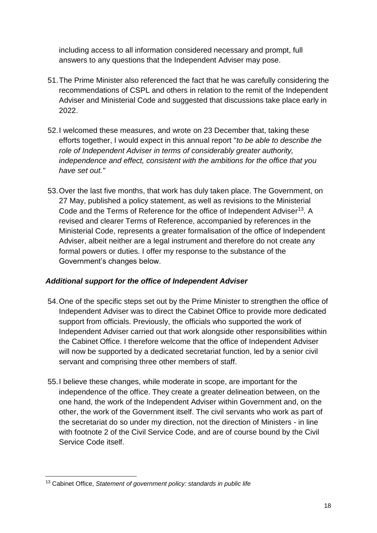including access to all information considered necessary and prompt, full answers to any questions that the Independent Adviser may pose.

- 51.The Prime Minister also referenced the fact that he was carefully considering the recommendations of CSPL and others in relation to the remit of the Independent Adviser and Ministerial Code and suggested that discussions take place early in 2022.
- 52.I welcomed these measures, and wrote on 23 December that, taking these efforts together, I would expect in this annual report "*to be able to describe the role of Independent Adviser in terms of considerably greater authority, independence and effect, consistent with the ambitions for the office that you have set out."*
- 53.Over the last five months, that work has duly taken place. The Government, on 27 May, published a policy statement, as well as revisions to the Ministerial Code and the Terms of Reference for the office of Independent Adviser<sup>13</sup>. A revised and clearer Terms of Reference, accompanied by references in the Ministerial Code, represents a greater formalisation of the office of Independent Adviser, albeit neither are a legal instrument and therefore do not create any formal powers or duties. I offer my response to the substance of the Government's changes below.

## *Additional support for the office of Independent Adviser*

- 54.One of the specific steps set out by the Prime Minister to strengthen the office of Independent Adviser was to direct the Cabinet Office to provide more dedicated support from officials. Previously, the officials who supported the work of Independent Adviser carried out that work alongside other responsibilities within the Cabinet Office. I therefore welcome that the office of Independent Adviser will now be supported by a dedicated secretariat function, led by a senior civil servant and comprising three other members of staff.
- 55.I believe these changes, while moderate in scope, are important for the independence of the office. They create a greater delineation between, on the one hand, the work of the Independent Adviser within Government and, on the other, the work of the Government itself. The civil servants who work as part of the secretariat do so under my direction, not the direction of Ministers - in line with footnote 2 of the Civil Service Code, and are of course bound by the Civil Service Code itself.

<sup>-</sup><sup>13</sup> Cabinet Office, *Statement of government policy: standards in public life*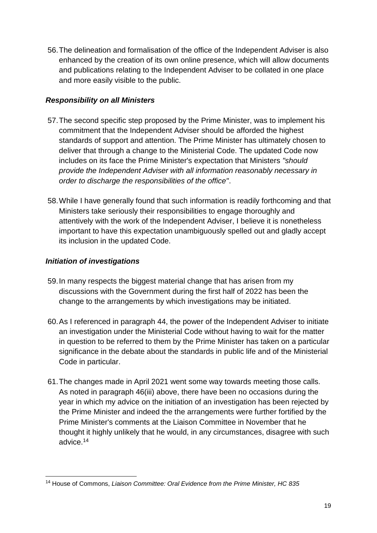56.The delineation and formalisation of the office of the Independent Adviser is also enhanced by the creation of its own online presence, which will allow documents and publications relating to the Independent Adviser to be collated in one place and more easily visible to the public.

## *Responsibility on all Ministers*

- 57.The second specific step proposed by the Prime Minister, was to implement his commitment that the Independent Adviser should be afforded the highest standards of support and attention. The Prime Minister has ultimately chosen to deliver that through a change to the Ministerial Code. The updated Code now includes on its face the Prime Minister's expectation that Ministers *"should provide the Independent Adviser with all information reasonably necessary in order to discharge the responsibilities of the office"*.
- 58.While I have generally found that such information is readily forthcoming and that Ministers take seriously their responsibilities to engage thoroughly and attentively with the work of the Independent Adviser, I believe it is nonetheless important to have this expectation unambiguously spelled out and gladly accept its inclusion in the updated Code.

### *Initiation of investigations*

- 59.In many respects the biggest material change that has arisen from my discussions with the Government during the first half of 2022 has been the change to the arrangements by which investigations may be initiated.
- 60.As I referenced in paragraph 44, the power of the Independent Adviser to initiate an investigation under the Ministerial Code without having to wait for the matter in question to be referred to them by the Prime Minister has taken on a particular significance in the debate about the standards in public life and of the Ministerial Code in particular.
- 61.The changes made in April 2021 went some way towards meeting those calls. As noted in paragraph 46(iii) above, there have been no occasions during the year in which my advice on the initiation of an investigation has been rejected by the Prime Minister and indeed the the arrangements were further fortified by the Prime Minister's comments at the Liaison Committee in November that he thought it highly unlikely that he would, in any circumstances, disagree with such advice.<sup>14</sup>

<sup>-</sup><sup>14</sup> House of Commons, *Liaison Committee: Oral Evidence from the Prime Minister, HC 835*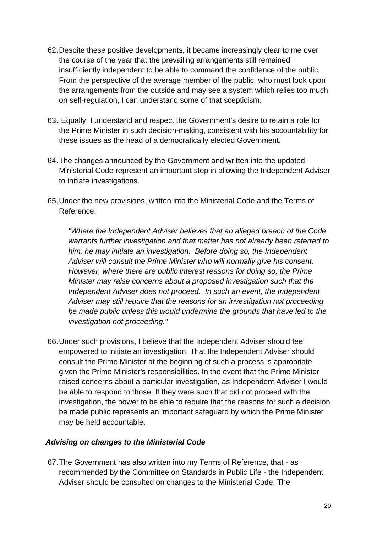- 62.Despite these positive developments, it became increasingly clear to me over the course of the year that the prevailing arrangements still remained insufficiently independent to be able to command the confidence of the public. From the perspective of the average member of the public, who must look upon the arrangements from the outside and may see a system which relies too much on self-regulation, I can understand some of that scepticism.
- 63. Equally, I understand and respect the Government's desire to retain a role for the Prime Minister in such decision-making, consistent with his accountability for these issues as the head of a democratically elected Government.
- 64.The changes announced by the Government and written into the updated Ministerial Code represent an important step in allowing the Independent Adviser to initiate investigations.
- 65.Under the new provisions, written into the Ministerial Code and the Terms of Reference:

*"Where the Independent Adviser believes that an alleged breach of the Code warrants further investigation and that matter has not already been referred to him, he may initiate an investigation. Before doing so, the Independent Adviser will consult the Prime Minister who will normally give his consent. However, where there are public interest reasons for doing so, the Prime Minister may raise concerns about a proposed investigation such that the Independent Adviser does not proceed. In such an event, the Independent Adviser may still require that the reasons for an investigation not proceeding be made public unless this would undermine the grounds that have led to the investigation not proceeding."*

66.Under such provisions, I believe that the Independent Adviser should feel empowered to initiate an investigation. That the Independent Adviser should consult the Prime Minister at the beginning of such a process is appropriate, given the Prime Minister's responsibilities. In the event that the Prime Minister raised concerns about a particular investigation, as Independent Adviser I would be able to respond to those. If they were such that did not proceed with the investigation, the power to be able to require that the reasons for such a decision be made public represents an important safeguard by which the Prime Minister may be held accountable.

#### *Advising on changes to the Ministerial Code*

67.The Government has also written into my Terms of Reference, that - as recommended by the Committee on Standards in Public Life - the Independent Adviser should be consulted on changes to the Ministerial Code. The